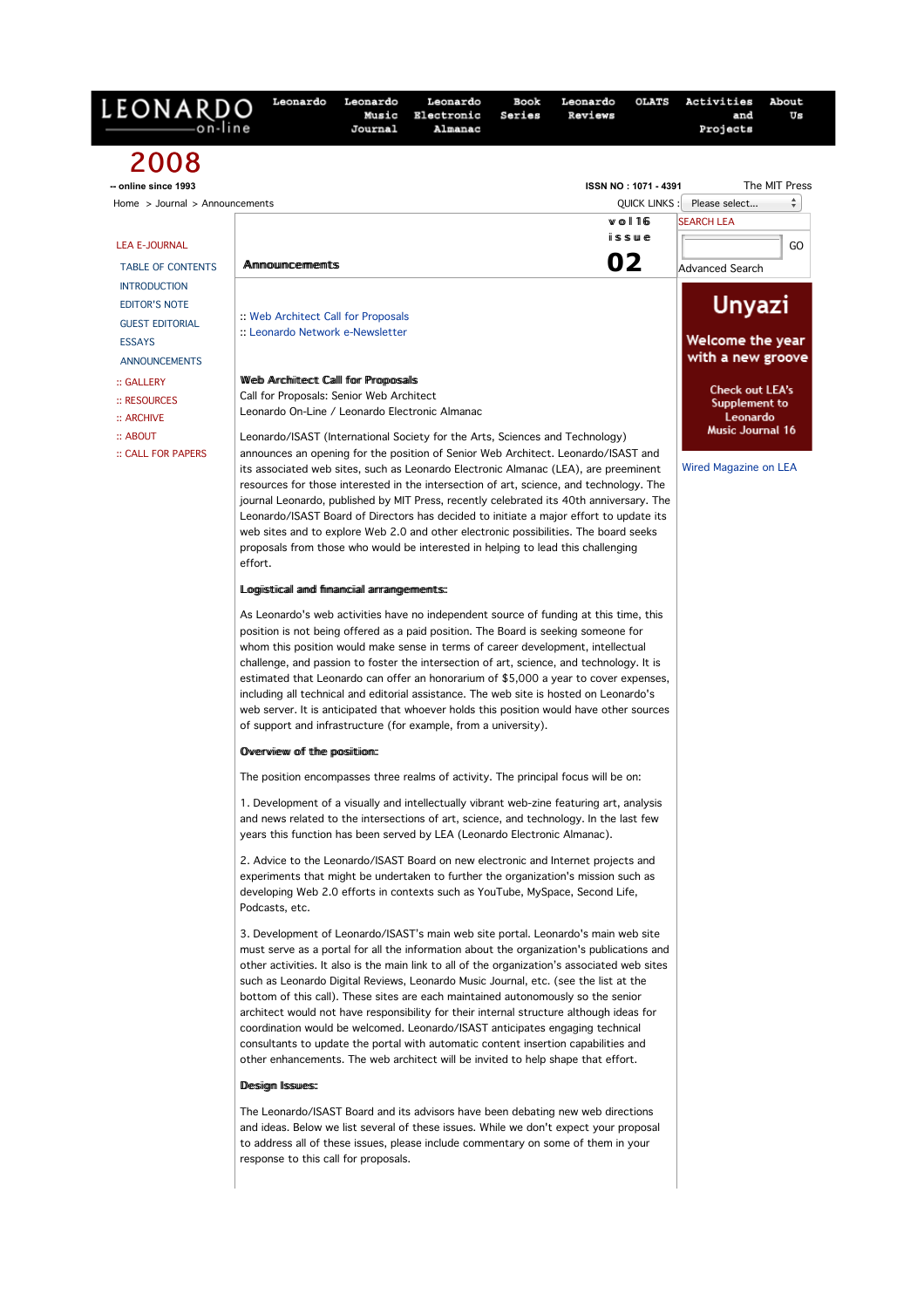| 2008<br>The MIT Press<br>-- online since 1993<br>ISSN NO: 1071 4391<br>÷<br>Please select<br>Home $>$ Journal $>$ Announcements<br><b>QUICK LINKS</b><br>$w$ o $116$<br><b>SEARCH LEA</b><br>$i$ is sue<br><b>LEA E-JOURNAL</b><br>GO<br>02<br><b>Ammouncements</b><br><b>TABLE OF CONTENTS</b><br>Advanced Search<br><b>INTRODUCTION</b><br><b>Unyazi</b><br><b>EDITOR'S NOTE</b><br>:: Web Architect Call for Proposals<br><b>GUEST EDITORIAL</b><br>:: Leonardo Network e-Newsletter<br>Welcome the year<br><b>ESSAYS</b><br>with a new groove<br><b>ANNOUNCEMENTS</b><br>Web Architect Calll for Proposals<br>:: GALLERY<br><b>Check out LEA's</b><br>Call for Proposals: Senior Web Architect<br>$::$ RESOURCES<br>Supplement to<br>Leonardo On-Line / Leonardo Electronic Almanac<br>Leonardo<br>:: ARCHIVE<br>Music Journal 16<br>:: ABOUT<br>Leonardo/ISAST (International Society for the Arts, Sciences and Technology)<br>announces an opening for the position of Senior Web Architect. Leonardo/ISAST and<br>:: CALL FOR PAPERS<br>Wired Magazine on LEA<br>its associated web sites, such as Leonardo Electronic Almanac (LEA), are preeminent<br>resources for those interested in the intersection of art, science, and technology. The<br>journal Leonardo, published by MIT Press, recently celebrated its 40th anniversary. The<br>Leonardo/ISAST Board of Directors has decided to initiate a major effort to update its<br>web sites and to explore Web 2.0 and other electronic possibilities. The board seeks<br>proposals from those who would be interested in helping to lead this challenging<br>effort.<br>Logiistical and fimancial arrangements:<br>As Leonardo's web activities have no independent source of funding at this time, this<br>position is not being offered as a paid position. The Board is seeking someone for<br>whom this position would make sense in terms of career development, intellectual<br>challenge, and passion to foster the intersection of art, science, and technology. It is<br>estimated that Leonardo can offer an honorarium of \$5,000 a year to cover expenses,<br>including all technical and editorial assistance. The web site is hosted on Leonardo's<br>web server. It is anticipated that whoever holds this position would have other sources<br>of support and infrastructure (for example, from a university).<br>Overview of the position:<br>The position encompasses three realms of activity. The principal focus will be on:<br>1. Development of a visually and intellectually vibrant web-zine featuring art, analysis<br>and news related to the intersections of art, science, and technology. In the last few<br>years this function has been served by LEA (Leonardo Electronic Almanac).<br>2. Advice to the Leonardo/ISAST Board on new electronic and Internet projects and<br>experiments that might be undertaken to further the organization's mission such as<br>developing Web 2.0 efforts in contexts such as YouTube, MySpace, Second Life,<br>Podcasts, etc.<br>3. Development of Leonardo/ISAST's main web site portal. Leonardo's main web site<br>must serve as a portal for all the information about the organization's publications and<br>other activities. It also is the main link to all of the organization's associated web sites<br>such as Leonardo Digital Reviews, Leonardo Music Journal, etc. (see the list at the<br>bottom of this call). These sites are each maintained autonomously so the senior<br>architect would not have responsibility for their internal structure although ideas for<br>coordination would be welcomed. Leonardo/ISAST anticipates engaging technical<br>consultants to update the portal with automatic content insertion capabilities and<br>other enhancements. The web architect will be invited to help shape that effort.<br>Desigm Issues:<br>The Leonardo/ISAST Board and its advisors have been debating new web directions<br>and ideas. Below we list several of these issues. While we don't expect your proposal<br>to address all of these issues, please include commentary on some of them in your<br>response to this call for proposals. | LEONARDO | Leonardo | Leonardo<br>Music<br>Journal | Leonardo<br>Electronic<br>Almanac | Book<br>Series | Leonardo<br>Reviews | <b>OLATS</b> | Activities<br>and<br>Projects | About<br>Us |  |  |
|----------------------------------------------------------------------------------------------------------------------------------------------------------------------------------------------------------------------------------------------------------------------------------------------------------------------------------------------------------------------------------------------------------------------------------------------------------------------------------------------------------------------------------------------------------------------------------------------------------------------------------------------------------------------------------------------------------------------------------------------------------------------------------------------------------------------------------------------------------------------------------------------------------------------------------------------------------------------------------------------------------------------------------------------------------------------------------------------------------------------------------------------------------------------------------------------------------------------------------------------------------------------------------------------------------------------------------------------------------------------------------------------------------------------------------------------------------------------------------------------------------------------------------------------------------------------------------------------------------------------------------------------------------------------------------------------------------------------------------------------------------------------------------------------------------------------------------------------------------------------------------------------------------------------------------------------------------------------------------------------------------------------------------------------------------------------------------------------------------------------------------------------------------------------------------------------------------------------------------------------------------------------------------------------------------------------------------------------------------------------------------------------------------------------------------------------------------------------------------------------------------------------------------------------------------------------------------------------------------------------------------------------------------------------------------------------------------------------------------------------------------------------------------------------------------------------------------------------------------------------------------------------------------------------------------------------------------------------------------------------------------------------------------------------------------------------------------------------------------------------------------------------------------------------------------------------------------------------------------------------------------------------------------------------------------------------------------------------------------------------------------------------------------------------------------------------------------------------------------------------------------------------------------------------------------------------------------------------------------------------------------------------------------------------------------------------------------------------------------------------------------------------------------------------------------------------------------------------------------------------------------------------------------------------------------------------------------------------------------------------------------------------------------------------------------------------------------------------------------------------------------------------------------------------------------------------------------------|----------|----------|------------------------------|-----------------------------------|----------------|---------------------|--------------|-------------------------------|-------------|--|--|
|                                                                                                                                                                                                                                                                                                                                                                                                                                                                                                                                                                                                                                                                                                                                                                                                                                                                                                                                                                                                                                                                                                                                                                                                                                                                                                                                                                                                                                                                                                                                                                                                                                                                                                                                                                                                                                                                                                                                                                                                                                                                                                                                                                                                                                                                                                                                                                                                                                                                                                                                                                                                                                                                                                                                                                                                                                                                                                                                                                                                                                                                                                                                                                                                                                                                                                                                                                                                                                                                                                                                                                                                                                                                                                                                                                                                                                                                                                                                                                                                                                                                                                                                                                                                                |          |          |                              |                                   |                |                     |              |                               |             |  |  |
|                                                                                                                                                                                                                                                                                                                                                                                                                                                                                                                                                                                                                                                                                                                                                                                                                                                                                                                                                                                                                                                                                                                                                                                                                                                                                                                                                                                                                                                                                                                                                                                                                                                                                                                                                                                                                                                                                                                                                                                                                                                                                                                                                                                                                                                                                                                                                                                                                                                                                                                                                                                                                                                                                                                                                                                                                                                                                                                                                                                                                                                                                                                                                                                                                                                                                                                                                                                                                                                                                                                                                                                                                                                                                                                                                                                                                                                                                                                                                                                                                                                                                                                                                                                                                |          |          |                              |                                   |                |                     |              |                               |             |  |  |
|                                                                                                                                                                                                                                                                                                                                                                                                                                                                                                                                                                                                                                                                                                                                                                                                                                                                                                                                                                                                                                                                                                                                                                                                                                                                                                                                                                                                                                                                                                                                                                                                                                                                                                                                                                                                                                                                                                                                                                                                                                                                                                                                                                                                                                                                                                                                                                                                                                                                                                                                                                                                                                                                                                                                                                                                                                                                                                                                                                                                                                                                                                                                                                                                                                                                                                                                                                                                                                                                                                                                                                                                                                                                                                                                                                                                                                                                                                                                                                                                                                                                                                                                                                                                                |          |          |                              |                                   |                |                     |              |                               |             |  |  |
|                                                                                                                                                                                                                                                                                                                                                                                                                                                                                                                                                                                                                                                                                                                                                                                                                                                                                                                                                                                                                                                                                                                                                                                                                                                                                                                                                                                                                                                                                                                                                                                                                                                                                                                                                                                                                                                                                                                                                                                                                                                                                                                                                                                                                                                                                                                                                                                                                                                                                                                                                                                                                                                                                                                                                                                                                                                                                                                                                                                                                                                                                                                                                                                                                                                                                                                                                                                                                                                                                                                                                                                                                                                                                                                                                                                                                                                                                                                                                                                                                                                                                                                                                                                                                |          |          |                              |                                   |                |                     |              |                               |             |  |  |
|                                                                                                                                                                                                                                                                                                                                                                                                                                                                                                                                                                                                                                                                                                                                                                                                                                                                                                                                                                                                                                                                                                                                                                                                                                                                                                                                                                                                                                                                                                                                                                                                                                                                                                                                                                                                                                                                                                                                                                                                                                                                                                                                                                                                                                                                                                                                                                                                                                                                                                                                                                                                                                                                                                                                                                                                                                                                                                                                                                                                                                                                                                                                                                                                                                                                                                                                                                                                                                                                                                                                                                                                                                                                                                                                                                                                                                                                                                                                                                                                                                                                                                                                                                                                                |          |          |                              |                                   |                |                     |              |                               |             |  |  |
|                                                                                                                                                                                                                                                                                                                                                                                                                                                                                                                                                                                                                                                                                                                                                                                                                                                                                                                                                                                                                                                                                                                                                                                                                                                                                                                                                                                                                                                                                                                                                                                                                                                                                                                                                                                                                                                                                                                                                                                                                                                                                                                                                                                                                                                                                                                                                                                                                                                                                                                                                                                                                                                                                                                                                                                                                                                                                                                                                                                                                                                                                                                                                                                                                                                                                                                                                                                                                                                                                                                                                                                                                                                                                                                                                                                                                                                                                                                                                                                                                                                                                                                                                                                                                |          |          |                              |                                   |                |                     |              |                               |             |  |  |
|                                                                                                                                                                                                                                                                                                                                                                                                                                                                                                                                                                                                                                                                                                                                                                                                                                                                                                                                                                                                                                                                                                                                                                                                                                                                                                                                                                                                                                                                                                                                                                                                                                                                                                                                                                                                                                                                                                                                                                                                                                                                                                                                                                                                                                                                                                                                                                                                                                                                                                                                                                                                                                                                                                                                                                                                                                                                                                                                                                                                                                                                                                                                                                                                                                                                                                                                                                                                                                                                                                                                                                                                                                                                                                                                                                                                                                                                                                                                                                                                                                                                                                                                                                                                                |          |          |                              |                                   |                |                     |              |                               |             |  |  |
|                                                                                                                                                                                                                                                                                                                                                                                                                                                                                                                                                                                                                                                                                                                                                                                                                                                                                                                                                                                                                                                                                                                                                                                                                                                                                                                                                                                                                                                                                                                                                                                                                                                                                                                                                                                                                                                                                                                                                                                                                                                                                                                                                                                                                                                                                                                                                                                                                                                                                                                                                                                                                                                                                                                                                                                                                                                                                                                                                                                                                                                                                                                                                                                                                                                                                                                                                                                                                                                                                                                                                                                                                                                                                                                                                                                                                                                                                                                                                                                                                                                                                                                                                                                                                |          |          |                              |                                   |                |                     |              |                               |             |  |  |
|                                                                                                                                                                                                                                                                                                                                                                                                                                                                                                                                                                                                                                                                                                                                                                                                                                                                                                                                                                                                                                                                                                                                                                                                                                                                                                                                                                                                                                                                                                                                                                                                                                                                                                                                                                                                                                                                                                                                                                                                                                                                                                                                                                                                                                                                                                                                                                                                                                                                                                                                                                                                                                                                                                                                                                                                                                                                                                                                                                                                                                                                                                                                                                                                                                                                                                                                                                                                                                                                                                                                                                                                                                                                                                                                                                                                                                                                                                                                                                                                                                                                                                                                                                                                                |          |          |                              |                                   |                |                     |              |                               |             |  |  |
|                                                                                                                                                                                                                                                                                                                                                                                                                                                                                                                                                                                                                                                                                                                                                                                                                                                                                                                                                                                                                                                                                                                                                                                                                                                                                                                                                                                                                                                                                                                                                                                                                                                                                                                                                                                                                                                                                                                                                                                                                                                                                                                                                                                                                                                                                                                                                                                                                                                                                                                                                                                                                                                                                                                                                                                                                                                                                                                                                                                                                                                                                                                                                                                                                                                                                                                                                                                                                                                                                                                                                                                                                                                                                                                                                                                                                                                                                                                                                                                                                                                                                                                                                                                                                |          |          |                              |                                   |                |                     |              |                               |             |  |  |
|                                                                                                                                                                                                                                                                                                                                                                                                                                                                                                                                                                                                                                                                                                                                                                                                                                                                                                                                                                                                                                                                                                                                                                                                                                                                                                                                                                                                                                                                                                                                                                                                                                                                                                                                                                                                                                                                                                                                                                                                                                                                                                                                                                                                                                                                                                                                                                                                                                                                                                                                                                                                                                                                                                                                                                                                                                                                                                                                                                                                                                                                                                                                                                                                                                                                                                                                                                                                                                                                                                                                                                                                                                                                                                                                                                                                                                                                                                                                                                                                                                                                                                                                                                                                                |          |          |                              |                                   |                |                     |              |                               |             |  |  |
|                                                                                                                                                                                                                                                                                                                                                                                                                                                                                                                                                                                                                                                                                                                                                                                                                                                                                                                                                                                                                                                                                                                                                                                                                                                                                                                                                                                                                                                                                                                                                                                                                                                                                                                                                                                                                                                                                                                                                                                                                                                                                                                                                                                                                                                                                                                                                                                                                                                                                                                                                                                                                                                                                                                                                                                                                                                                                                                                                                                                                                                                                                                                                                                                                                                                                                                                                                                                                                                                                                                                                                                                                                                                                                                                                                                                                                                                                                                                                                                                                                                                                                                                                                                                                |          |          |                              |                                   |                |                     |              |                               |             |  |  |
|                                                                                                                                                                                                                                                                                                                                                                                                                                                                                                                                                                                                                                                                                                                                                                                                                                                                                                                                                                                                                                                                                                                                                                                                                                                                                                                                                                                                                                                                                                                                                                                                                                                                                                                                                                                                                                                                                                                                                                                                                                                                                                                                                                                                                                                                                                                                                                                                                                                                                                                                                                                                                                                                                                                                                                                                                                                                                                                                                                                                                                                                                                                                                                                                                                                                                                                                                                                                                                                                                                                                                                                                                                                                                                                                                                                                                                                                                                                                                                                                                                                                                                                                                                                                                |          |          |                              |                                   |                |                     |              |                               |             |  |  |
|                                                                                                                                                                                                                                                                                                                                                                                                                                                                                                                                                                                                                                                                                                                                                                                                                                                                                                                                                                                                                                                                                                                                                                                                                                                                                                                                                                                                                                                                                                                                                                                                                                                                                                                                                                                                                                                                                                                                                                                                                                                                                                                                                                                                                                                                                                                                                                                                                                                                                                                                                                                                                                                                                                                                                                                                                                                                                                                                                                                                                                                                                                                                                                                                                                                                                                                                                                                                                                                                                                                                                                                                                                                                                                                                                                                                                                                                                                                                                                                                                                                                                                                                                                                                                |          |          |                              |                                   |                |                     |              |                               |             |  |  |
|                                                                                                                                                                                                                                                                                                                                                                                                                                                                                                                                                                                                                                                                                                                                                                                                                                                                                                                                                                                                                                                                                                                                                                                                                                                                                                                                                                                                                                                                                                                                                                                                                                                                                                                                                                                                                                                                                                                                                                                                                                                                                                                                                                                                                                                                                                                                                                                                                                                                                                                                                                                                                                                                                                                                                                                                                                                                                                                                                                                                                                                                                                                                                                                                                                                                                                                                                                                                                                                                                                                                                                                                                                                                                                                                                                                                                                                                                                                                                                                                                                                                                                                                                                                                                |          |          |                              |                                   |                |                     |              |                               |             |  |  |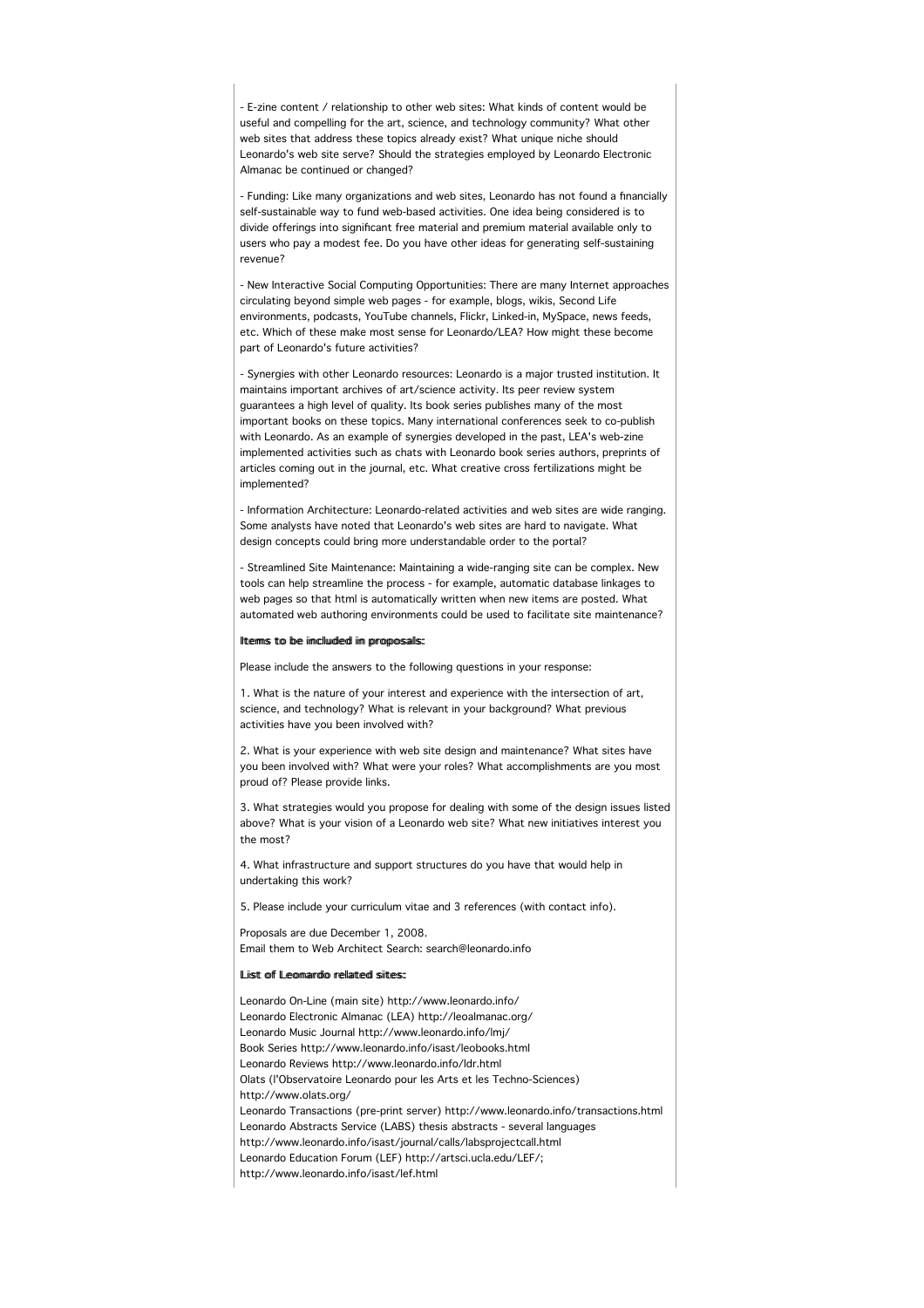- E-zine content / relationship to other web sites: What kinds of content would be useful and compelling for the art, science, and technology community? What other web sites that address these topics already exist? What unique niche should Leonardo's web site serve? Should the strategies employed by Leonardo Electronic Almanac be continued or changed?

- Funding: Like many organizations and web sites, Leonardo has not found a financially self-sustainable way to fund web-based activities. One idea being considered is to divide offerings into significant free material and premium material available only to users who pay a modest fee. Do you have other ideas for generating self-sustaining revenue?

- New Interactive Social Computing Opportunities: There are many Internet approaches circulating beyond simple web pages - for example, blogs, wikis, Second Life environments, podcasts, YouTube channels, Flickr, Linked-in, MySpace, news feeds, etc. Which of these make most sense for Leonardo/LEA? How might these become part of Leonardo's future activities?

- Synergies with other Leonardo resources: Leonardo is a major trusted institution. It maintains important archives of art/science activity. Its peer review system guarantees a high level of quality. Its book series publishes many of the most important books on these topics. Many international conferences seek to co-publish with Leonardo. As an example of synergies developed in the past, LEA's web-zine implemented activities such as chats with Leonardo book series authors, preprints of articles coming out in the journal, etc. What creative cross fertilizations might be implemented?

- Information Architecture: Leonardo-related activities and web sites are wide ranging. Some analysts have noted that Leonardo's web sites are hard to navigate. What design concepts could bring more understandable order to the portal?

- Streamlined Site Maintenance: Maintaining a wide-ranging site can be complex. New tools can help streamline the process - for example, automatic database linkages to web pages so that html is automatically written when new items are posted. What automated web authoring environments could be used to facilitate site maintenance?

## IItemms to be iimclluuded iim proposalls:

Please include the answers to the following questions in your response:

1. What is the nature of your interest and experience with the intersection of art, science, and technology? What is relevant in your background? What previous activities have you been involved with?

2. What is your experience with web site design and maintenance? What sites have you been involved with? What were your roles? What accomplishments are you most proud of? Please provide links.

3. What strategies would you propose for dealing with some of the design issues listed above? What is your vision of a Leonardo web site? What new initiatives interest you the most?

4. What infrastructure and support structures do you have that would help in undertaking this work?

5. Please include your curriculum vitae and 3 references (with contact info).

Proposals are due December 1, 2008. Email them to Web Architect Search: search@leonardo.info

## Liist of Leonardo relatted sittee

Leonardo On-Line (main site) http://www.leonardo.info/ Leonardo Electronic Almanac (LEA) http://leoalmanac.org/ Leonardo Music Journal http://www.leonardo.info/lmj/ Book Series http://www.leonardo.info/isast/leobooks.html Leonardo Reviews http://www.leonardo.info/ldr.html Olats (l'Observatoire Leonardo pour les Arts et les Techno-Sciences) http://www.olats.org/ Leonardo Transactions (pre-print server) http://www.leonardo.info/transactions.html Leonardo Abstracts Service (LABS) thesis abstracts - several languages http://www.leonardo.info/isast/journal/calls/labsprojectcall.html Leonardo Education Forum (LEF) http://artsci.ucla.edu/LEF/; http://www.leonardo.info/isast/lef.html